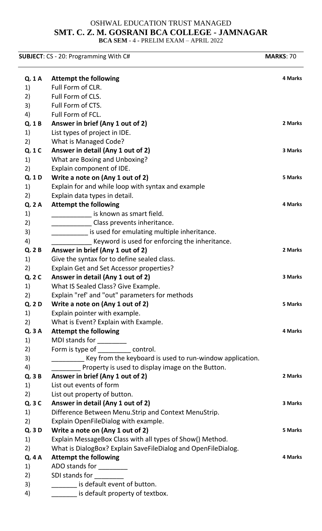## OSHWAL EDUCATION TRUST MANAGED **SMT. C. Z. M. GOSRANI BCA COLLEGE - JAMNAGAR BCA SEM** - 4 - PRELIM EXAM – APRIL 2022

**SUBJECT**: CS - 20: Programming With C# **MARKS**: 70 **Q. 1 A Attempt the following 4 Marks 4 Marks** 1) Full Form of CLR. 2) Full Form of CLS. 3) Full Form of CTS. 4) Full Form of FCL. **Q. 1 B Answer in brief (Any 1 out of 2) 2 Marks** 1) List types of project in IDE. 2) What is Managed Code? **Q. 1 C Answer in detail (Any 1 out of 2) 3 Marks** 1) What are Boxing and Unboxing? 2) Explain component of IDE. **Q. 1 D Write a note on (Any 1 out of 2) 5 Marks** 1) Explain for and while loop with syntax and example 2) Explain data types in detail. **Q. 2 A Attempt the following 4 Marks 4 Marks** 1) \_\_\_\_\_\_\_\_\_\_\_\_\_\_\_\_ is known as smart field. 2) \_\_\_\_\_\_\_\_\_\_\_\_\_\_\_\_\_\_Class prevents inheritance. 3)  $\frac{1}{2}$  is used for emulating multiple inheritance. 4) **EXECUTE:** Keyword is used for enforcing the inheritance. **Q. 2 B Answer in brief (Any 1 out of 2) 2 Marks** 1) Give the syntax for to define sealed class. 2) Explain Get and Set Accessor properties? **Q. 2 C Answer in detail (Any 1 out of 2) 3 Marks** 1) What IS Sealed Class? Give Example. 2) Explain "ref' and "out" parameters for methods **Q. 2 D Write a note on (Any 1 out of 2) 5 Marks** 1) Explain pointer with example. 2) What is Event? Explain with Example. **Q. 3 A Attempt the following 4 Marks 4 Marks** 1) MDI stands for \_\_\_\_\_\_\_\_ 2) Form is type of \_\_\_\_\_\_\_\_\_ control. 3) Supersion Key from the keyboard is used to run-window application. 4) Property is used to display image on the Button. **Q. 3 B Answer in brief (Any 1 out of 2) 2 Marks** 1) List out events of form 2) List out property of button. **Q. 3 C Answer in detail (Any 1 out of 2) 3 Marks** 1) Difference Between Menu.Strip and Context MenuStrip. 2) Explain OpenFileDialog with example. **Q. 3 D Write a note on (Any 1 out of 2) 5 Marks** 1) Explain MessageBox Class with all types of Show() Method. 2) What is DialogBox? Explain SaveFileDialog and OpenFileDialog. **Q. 4 A Attempt the following 4 Marks 4 Marks** 1) ADO stands for \_\_\_\_\_\_\_\_\_ 2) SDI stands for 3) **\_\_\_\_\_\_\_** is default event of button. 4) **Example 3** is default property of textbox.